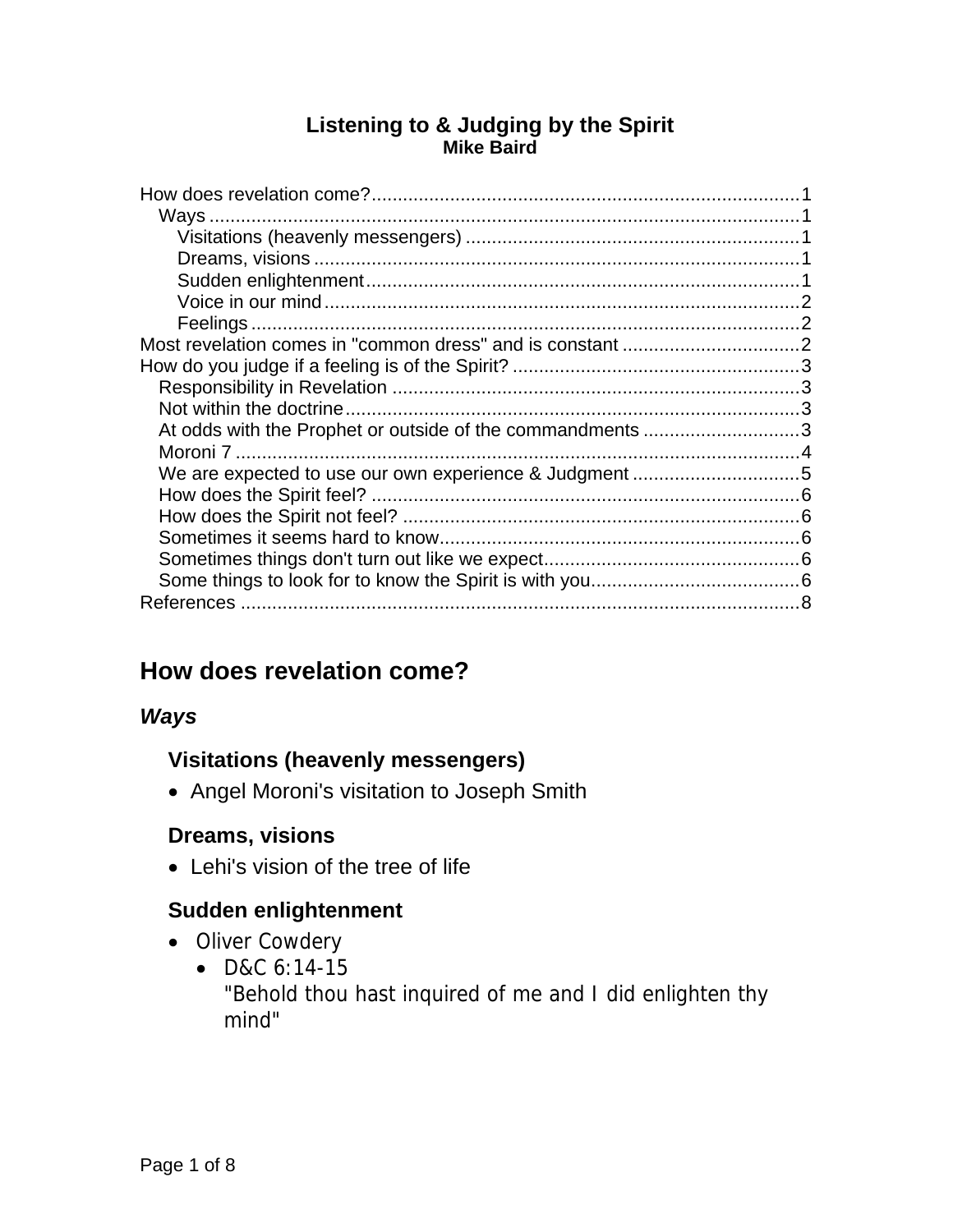#### **Listening to & Judging by the Spirit Mike Baird**

| At odds with the Prophet or outside of the commandments 3 |  |
|-----------------------------------------------------------|--|
|                                                           |  |
|                                                           |  |
|                                                           |  |
|                                                           |  |
|                                                           |  |
|                                                           |  |
|                                                           |  |
|                                                           |  |

# **How does revelation come?**

#### *Ways*

# **Visitations (heavenly messengers)**

• Angel Moroni's visitation to Joseph Smith

# **Dreams, visions**

Lehi's vision of the tree of life

# **Sudden enlightenment**

- Oliver Cowdery
	- D&C 6:14-15 "Behold thou hast inquired of me and I did enlighten thy mind"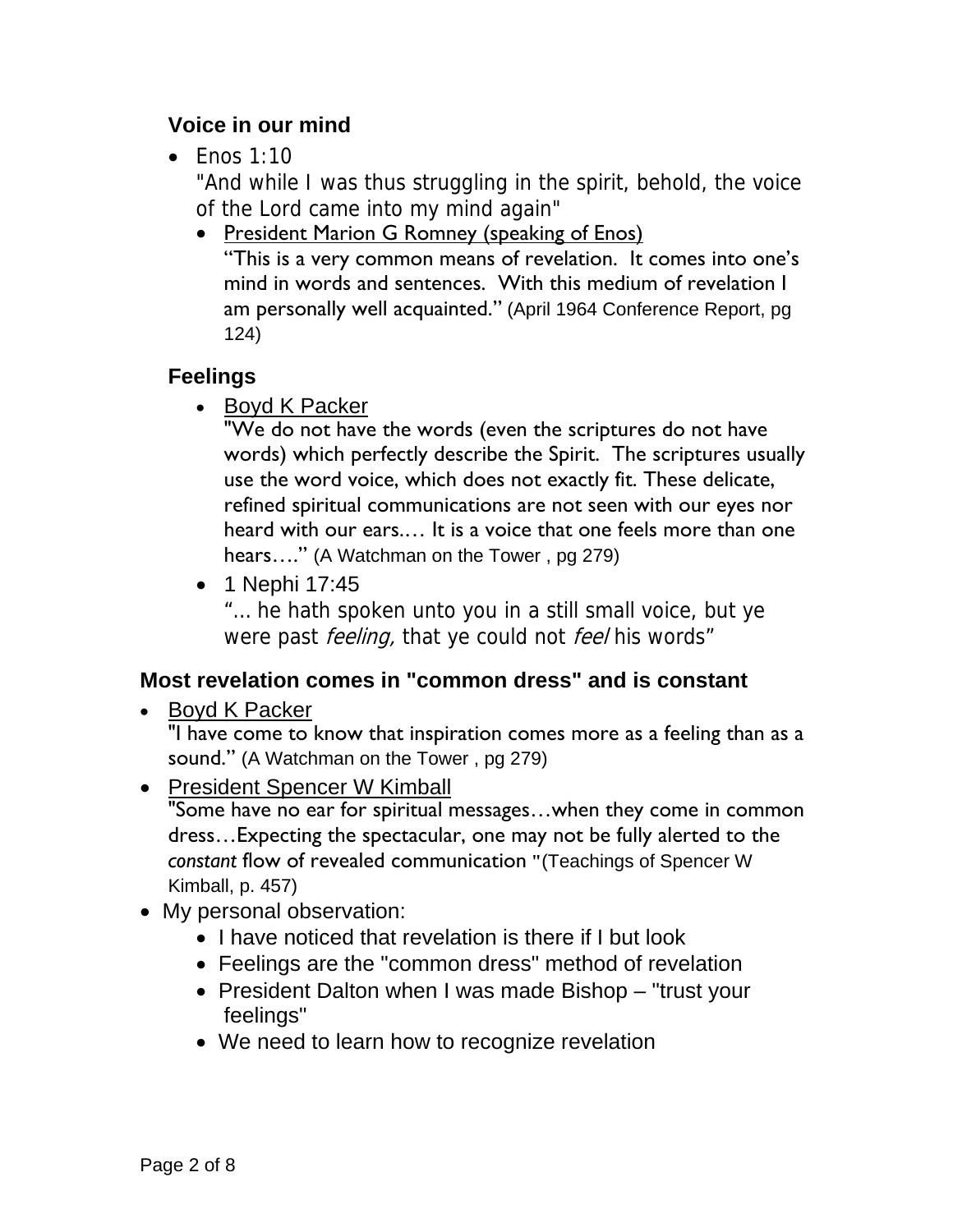# **Voice in our mind**

 $\bullet$  Enos 1:10

"And while I was thus struggling in the spirit, behold, the voice of the Lord came into my mind again"

• President Marion G Romney (speaking of Enos) "This is a very common means of revelation. It comes into one's mind in words and sentences. With this medium of revelation I am personally well acquainted." (April 1964 Conference Report, pg 124)

# **Feelings**

• Boyd K Packer

"We do not have the words (even the scriptures do not have words) which perfectly describe the Spirit. The scriptures usually use the word voice, which does not exactly fit. These delicate, refined spiritual communications are not seen with our eyes nor heard with our ears.… It is a voice that one feels more than one hears…." (A Watchman on the Tower , pg 279)

• 1 Nephi 17:45

"… he hath spoken unto you in a still small voice, but ye were past *feeling*, that ye could not *feel* his words"

# **Most revelation comes in "common dress" and is constant**

• Boyd K Packer

"I have come to know that inspiration comes more as a feeling than as a sound." (A Watchman on the Tower , pg 279)

- President Spencer W Kimball "Some have no ear for spiritual messages…when they come in common dress…Expecting the spectacular, one may not be fully alerted to the *constant* flow of revealed communication **"**(Teachings of Spencer W Kimball, p. 457)
- My personal observation:
	- I have noticed that revelation is there if I but look
	- Feelings are the "common dress" method of revelation
	- President Dalton when I was made Bishop "trust your feelings"
	- We need to learn how to recognize revelation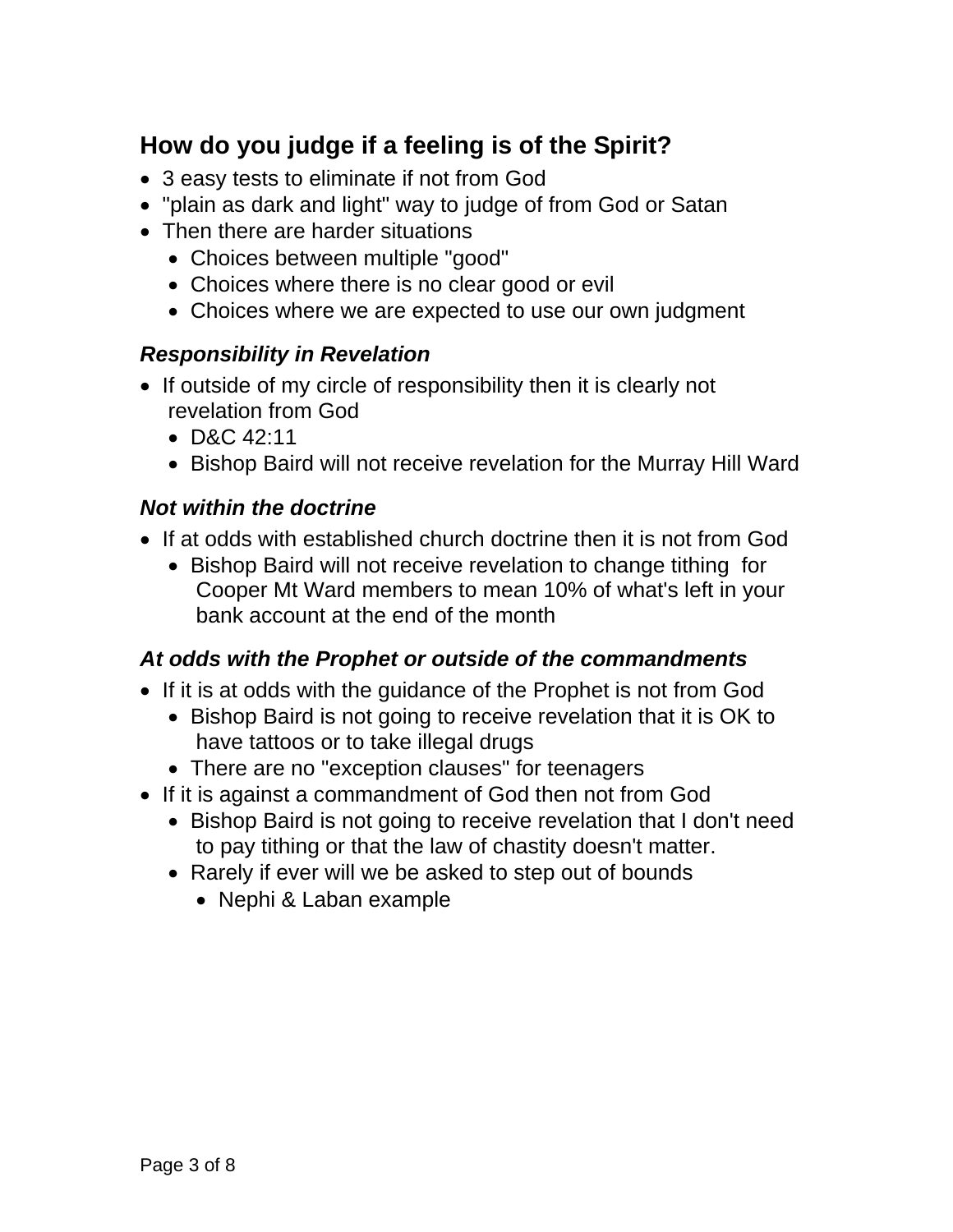# **How do you judge if a feeling is of the Spirit?**

- 3 easy tests to eliminate if not from God
- "plain as dark and light" way to judge of from God or Satan
- Then there are harder situations
	- Choices between multiple "good"
	- Choices where there is no clear good or evil
	- Choices where we are expected to use our own judgment

#### *Responsibility in Revelation*

- If outside of my circle of responsibility then it is clearly not revelation from God
	- D&C 42:11
	- Bishop Baird will not receive revelation for the Murray Hill Ward

#### *Not within the doctrine*

- If at odds with established church doctrine then it is not from God
	- Bishop Baird will not receive revelation to change tithing for Cooper Mt Ward members to mean 10% of what's left in your bank account at the end of the month

#### *At odds with the Prophet or outside of the commandments*

- If it is at odds with the guidance of the Prophet is not from God
	- Bishop Baird is not going to receive revelation that it is OK to have tattoos or to take illegal drugs
	- There are no "exception clauses" for teenagers
- If it is against a commandment of God then not from God
	- Bishop Baird is not going to receive revelation that I don't need to pay tithing or that the law of chastity doesn't matter.
	- Rarely if ever will we be asked to step out of bounds
		- Nephi & Laban example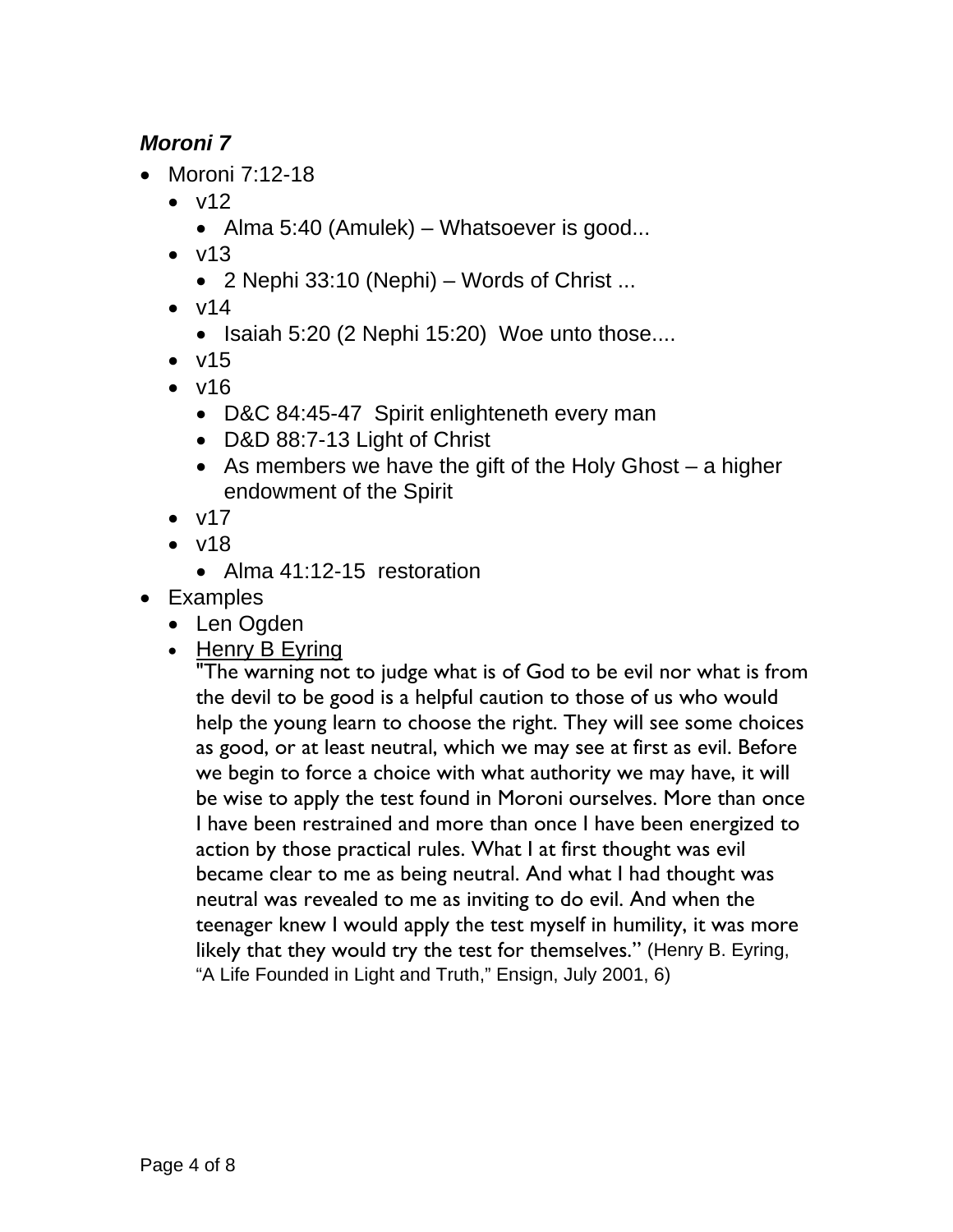# *Moroni 7*

- Moroni 7:12-18
	- $\bullet$  v12
		- Alma 5:40 (Amulek) Whatsoever is good...
	- $\bullet$  v13
		- 2 Nephi 33:10 (Nephi) Words of Christ ...
	- $\bullet$  v14
		- $\bullet$  Isaiah 5:20 (2 Nephi 15:20) Woe unto those....
	- $\bullet$  v15
	- $\bullet$  v16
		- D&C 84:45-47 Spirit enlighteneth every man
		- D&D 88:7-13 Light of Christ
		- As members we have the gift of the Holy Ghost  $-$  a higher endowment of the Spirit
	- $\bullet$  v17
	- $\bullet$  v18
		- Alma 41:12-15 restoration
- Examples
	- Len Ogden
	- $\bullet$  Henry B Eyring

"The warning not to judge what is of God to be evil nor what is from the devil to be good is a helpful caution to those of us who would help the young learn to choose the right. They will see some choices as good, or at least neutral, which we may see at first as evil. Before we begin to force a choice with what authority we may have, it will be wise to apply the test found in Moroni ourselves. More than once I have been restrained and more than once I have been energized to action by those practical rules. What I at first thought was evil became clear to me as being neutral. And what I had thought was neutral was revealed to me as inviting to do evil. And when the teenager knew I would apply the test myself in humility, it was more likely that they would try the test for themselves." (Henry B. Eyring, "A Life Founded in Light and Truth," Ensign, July 2001, 6)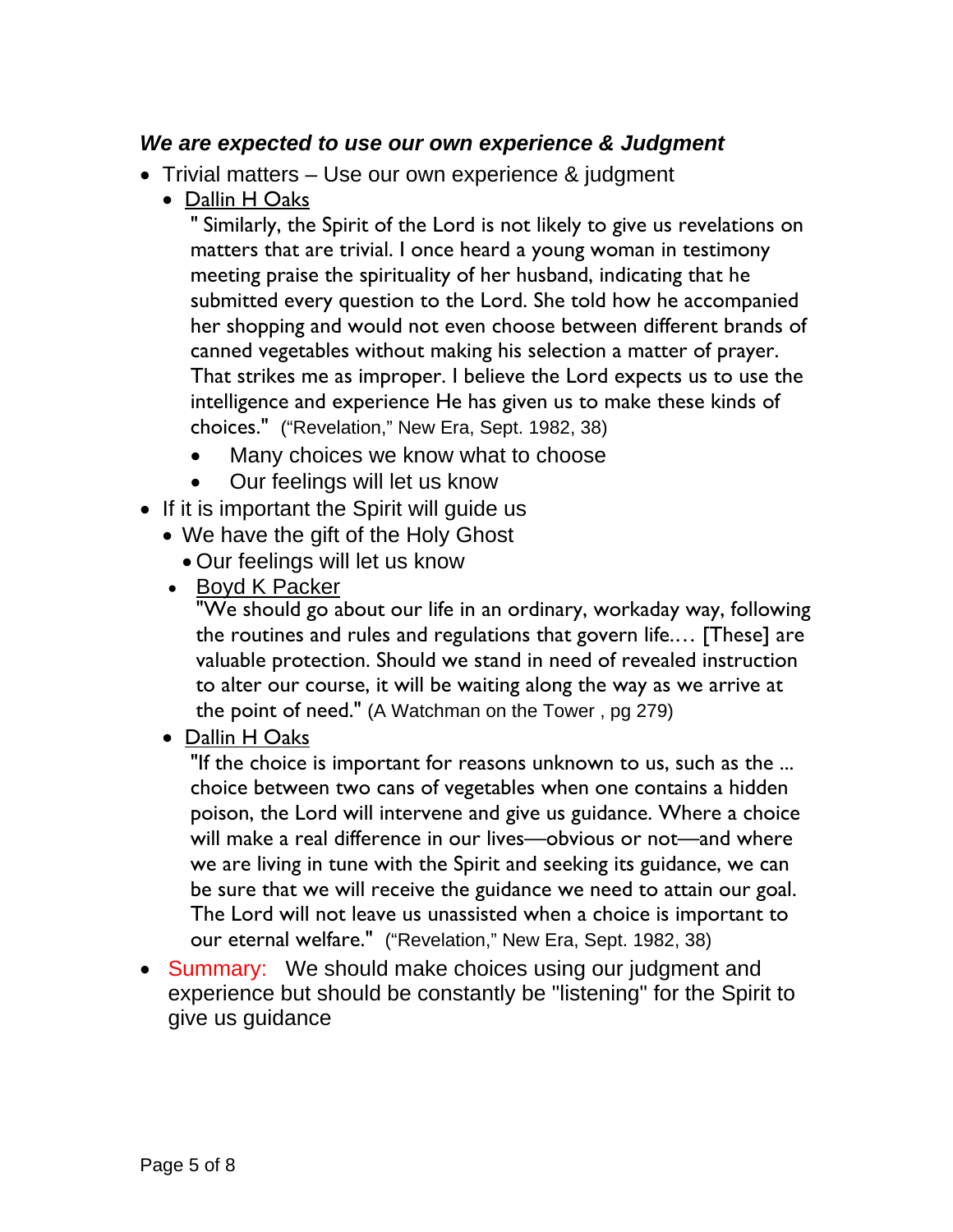#### *We are expected to use our own experience & Judgment*

- Trivial matters Use our own experience & judgment
	- Dallin H Oaks

" Similarly, the Spirit of the Lord is not likely to give us revelations on matters that are trivial. I once heard a young woman in testimony meeting praise the spirituality of her husband, indicating that he submitted every question to the Lord. She told how he accompanied her shopping and would not even choose between different brands of canned vegetables without making his selection a matter of prayer. That strikes me as improper. I believe the Lord expects us to use the intelligence and experience He has given us to make these kinds of choices." ("Revelation," New Era, Sept. 1982, 38)

- Many choices we know what to choose
- Our feelings will let us know
- If it is important the Spirit will guide us
	- We have the gift of the Holy Ghost
		- Our feelings will let us know
	- Boyd K Packer

"We should go about our life in an ordinary, workaday way, following the routines and rules and regulations that govern life.… [These] are valuable protection. Should we stand in need of revealed instruction to alter our course, it will be waiting along the way as we arrive at the point of need." (A Watchman on the Tower , pg 279)

#### Dallin H Oaks

"If the choice is important for reasons unknown to us, such as the ... choice between two cans of vegetables when one contains a hidden poison, the Lord will intervene and give us guidance. Where a choice will make a real difference in our lives—obvious or not—and where we are living in tune with the Spirit and seeking its guidance, we can be sure that we will receive the guidance we need to attain our goal. The Lord will not leave us unassisted when a choice is important to our eternal welfare." ("Revelation," New Era, Sept. 1982, 38)

• Summary: We should make choices using our judgment and experience but should be constantly be "listening" for the Spirit to give us guidance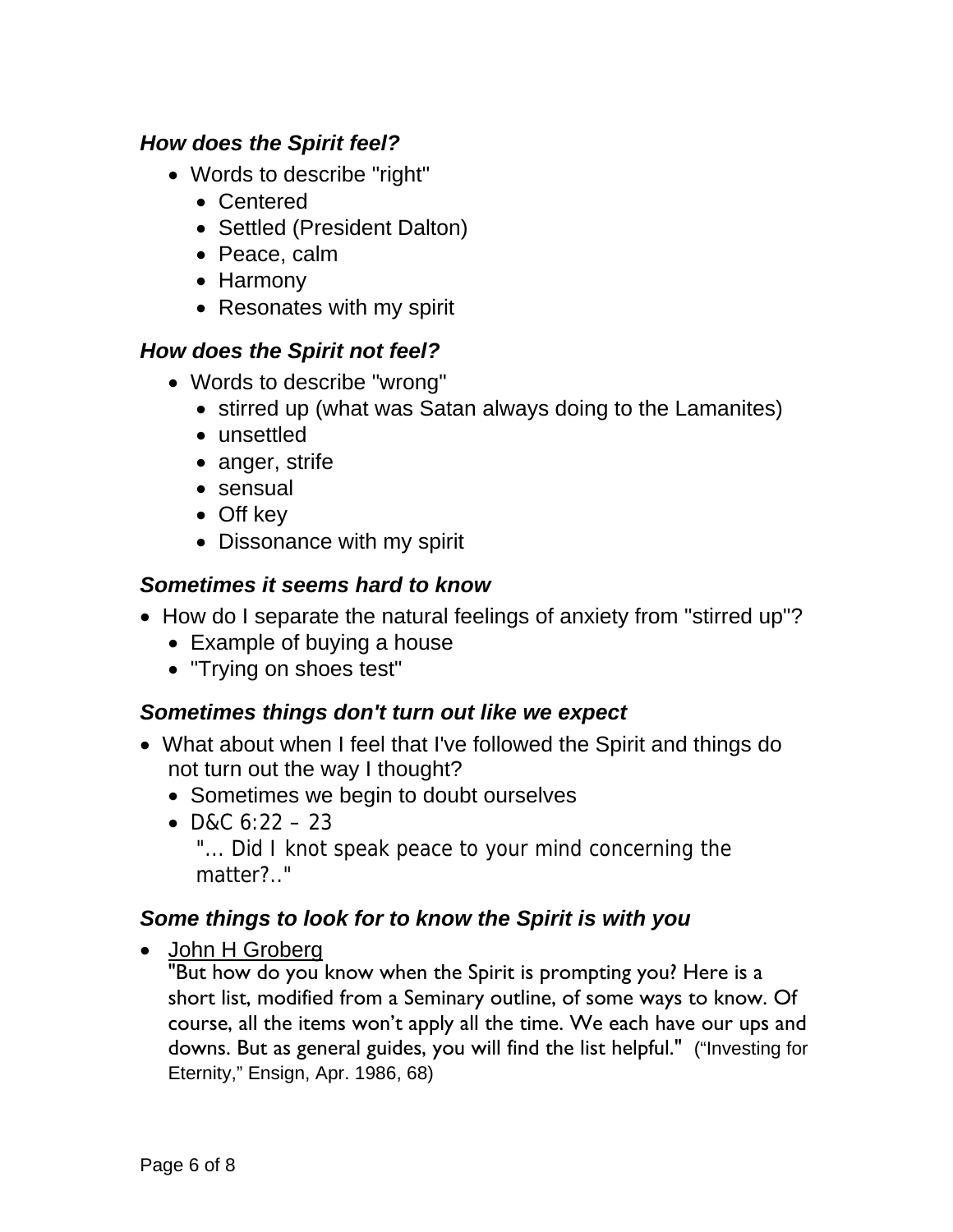#### *How does the Spirit feel?*

- Words to describe "right"
	- Centered
	- Settled (President Dalton)
	- Peace, calm
	- Harmony
	- Resonates with my spirit

#### *How does the Spirit not feel?*

- Words to describe "wrong"
	- stirred up (what was Satan always doing to the Lamanites)
	- unsettled
	- anger, strife
	- sensual
	- Off key
	- Dissonance with my spirit

#### *Sometimes it seems hard to know*

- How do I separate the natural feelings of anxiety from "stirred up"?
	- Example of buying a house
	- "Trying on shoes test"

# *Sometimes things don't turn out like we expect*

- What about when I feel that I've followed the Spirit and things do not turn out the way I thought?
	- Sometimes we begin to doubt ourselves
	- $\bullet$  D&C 6:22 23 "... Did I knot speak peace to your mind concerning the matter?.."

# *Some things to look for to know the Spirit is with you*

• John H Groberg

"But how do you know when the Spirit is prompting you? Here is a short list, modified from a Seminary outline, of some ways to know. Of course, all the items won't apply all the time. We each have our ups and downs. But as general guides, you will find the list helpful." ("Investing for Eternity," Ensign, Apr. 1986, 68)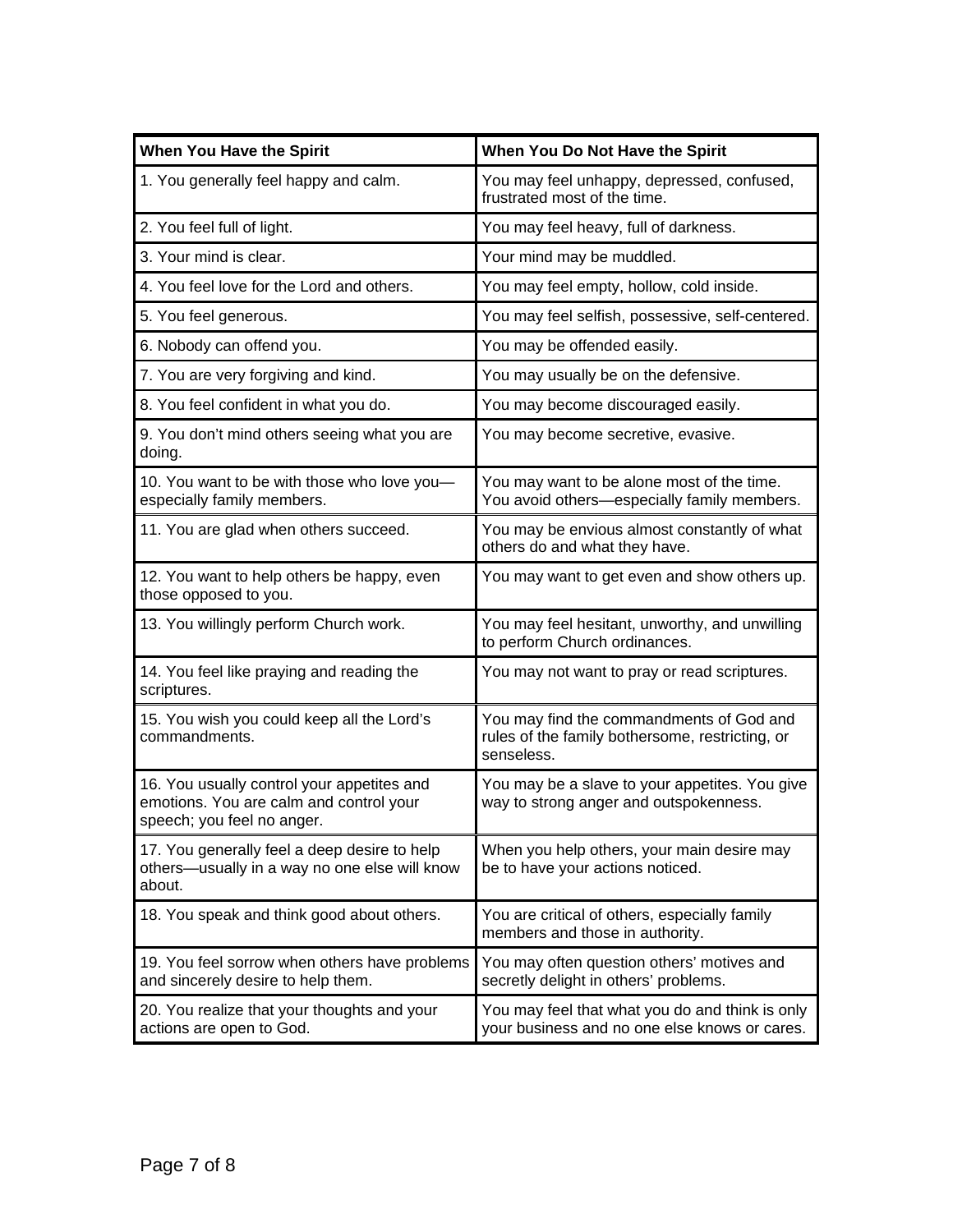| When You Have the Spirit                                                                                            | When You Do Not Have the Spirit                                                                           |
|---------------------------------------------------------------------------------------------------------------------|-----------------------------------------------------------------------------------------------------------|
| 1. You generally feel happy and calm.                                                                               | You may feel unhappy, depressed, confused,<br>frustrated most of the time.                                |
| 2. You feel full of light.                                                                                          | You may feel heavy, full of darkness.                                                                     |
| 3. Your mind is clear.                                                                                              | Your mind may be muddled.                                                                                 |
| 4. You feel love for the Lord and others.                                                                           | You may feel empty, hollow, cold inside.                                                                  |
| 5. You feel generous.                                                                                               | You may feel selfish, possessive, self-centered.                                                          |
| 6. Nobody can offend you.                                                                                           | You may be offended easily.                                                                               |
| 7. You are very forgiving and kind.                                                                                 | You may usually be on the defensive.                                                                      |
| 8. You feel confident in what you do.                                                                               | You may become discouraged easily.                                                                        |
| 9. You don't mind others seeing what you are<br>doing.                                                              | You may become secretive, evasive.                                                                        |
| 10. You want to be with those who love you-<br>especially family members.                                           | You may want to be alone most of the time.<br>You avoid others-especially family members.                 |
| 11. You are glad when others succeed.                                                                               | You may be envious almost constantly of what<br>others do and what they have.                             |
| 12. You want to help others be happy, even<br>those opposed to you.                                                 | You may want to get even and show others up.                                                              |
| 13. You willingly perform Church work.                                                                              | You may feel hesitant, unworthy, and unwilling<br>to perform Church ordinances.                           |
| 14. You feel like praying and reading the<br>scriptures.                                                            | You may not want to pray or read scriptures.                                                              |
| 15. You wish you could keep all the Lord's<br>commandments.                                                         | You may find the commandments of God and<br>rules of the family bothersome, restricting, or<br>senseless. |
| 16. You usually control your appetites and<br>emotions. You are calm and control your<br>speech; you feel no anger. | You may be a slave to your appetites. You give<br>way to strong anger and outspokenness.                  |
| 17. You generally feel a deep desire to help<br>others-usually in a way no one else will know<br>about.             | When you help others, your main desire may<br>be to have your actions noticed.                            |
| 18. You speak and think good about others.                                                                          | You are critical of others, especially family<br>members and those in authority.                          |
| 19. You feel sorrow when others have problems<br>and sincerely desire to help them.                                 | You may often question others' motives and<br>secretly delight in others' problems.                       |
| 20. You realize that your thoughts and your<br>actions are open to God.                                             | You may feel that what you do and think is only<br>your business and no one else knows or cares.          |